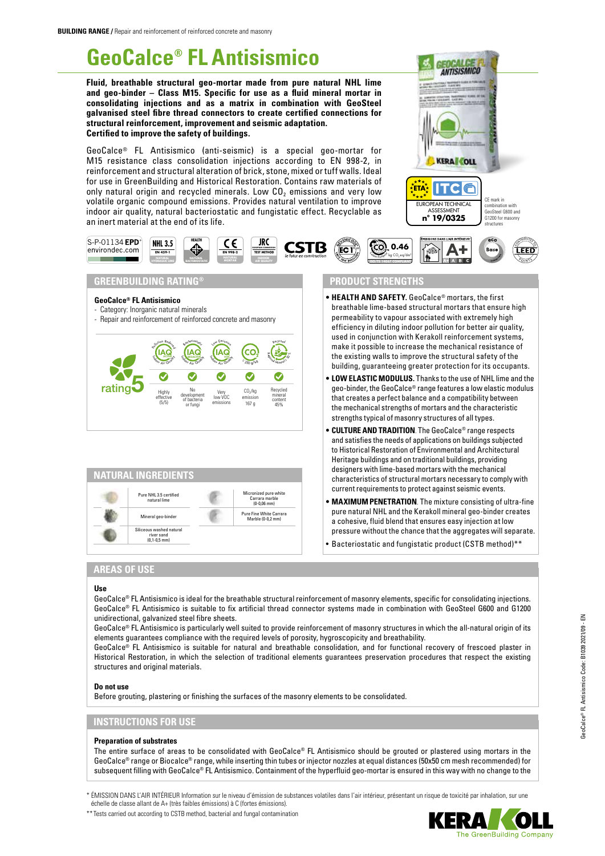**NHL 3.5 EN 459-1 HYDRAULIC LIME NATURAL**<br>**HYDRAULIC LIME BACTERIOSTA** 

 $\left(\underset{\scriptscriptstyle A_i\subset\mathcal{A}_i}{\text{I}}\right)$ **Pollution Reduced** 

> Highly effective (5/5)

 $\text{S-P-01134 EPD}$ <sup>\*</sup><br>environdec.com

. . .

**GeoCalce® FL Antisismico** - Category: Inorganic natural minerals

rating<sup>5</sup>

**GREENBUILDING RATING®**

**HEALTH**

- Repair and reinforcement of reinforced concrete and masonry

In I **BIOACTIVE** AQ door Air Quality Bacteriostatic

No development of bacteria or fungi

# **GeoCalce® FL Antisismico**

**Fluid, breathable structural geo-mortar made from pure natural NHL lime and geo-binder – Class M15. Specific for use as a fluid mineral mortar in consolidating injections and as a matrix in combination with GeoSteel galvanised steel fibre thread connectors to create certified connections for structural reinforcement, improvement and seismic adaptation. Certified to improve the safety of buildings.**

GeoCalce® FL Antisismico (anti-seismic) is a special geo-mortar for M15 resistance class consolidation injections according to EN 998-2, in reinforcement and structural alteration of brick, stone, mixed or tuff walls. Ideal for use in GreenBuilding and Historical Restoration. Contains raw materials of only natural origin and recycled minerals. Low  $CO<sub>2</sub>$  emissions and very low volatile organic compound emissions. Provides natural ventilation to improve indoor air quality, natural bacteriostatic and fungistatic effect. Recyclable as an inert material at the end of its life.

> **EN 998-2 MORTAR**

**IAC** Low Emission

Very low VOC emissions

**JRC AIR QUALITY EUROPEAN COMMISSION TEST METHOD**

**CSTB** 

<sup>≤</sup> <sup>2</sup>5<sup>0</sup> <sup>g</sup>/ <sup>k</sup><sup>g</sup> <sup>R</sup>eg<sup>i</sup>ona<sup>l</sup> <sup>M</sup>inera<sup>l</sup> <sup>≥</sup> <sup>3</sup><sup>0</sup> %

 $CO<sub>2</sub>/kg$ emissio 167 g

 $\bullet$ 

Recy<sup>c</sup>led

Recycled mineral content 45%

 $\bullet$ 

Micronized pure white Carrara marble (0-0,06 mm) Pure Fine White Carrara Marble (0-0,2 mm)





## **PRODUCT STRENGTHS**

ूँEC ।'

**ISO/TS 14067 COMPLIANT**

- **• HEALTH AND SAFETY.** GeoCalce® mortars, the first breathable lime-based structural mortars that ensure high permeability to vapour associated with extremely high efficiency in diluting indoor pollution for better air quality, used in conjunction with Kerakoll reinforcement systems, make it possible to increase the mechanical resistance of the existing walls to improve the structural safety of the building, guaranteeing greater protection for its occupants.
- **• LOW ELASTIC MODULUS.** Thanks to the use of NHL lime and the geo-binder, the GeoCalce® range features a low elastic modulus that creates a perfect balance and a compatibility between the mechanical strengths of mortars and the characteristic strengths typical of masonry structures of all types.
- **• CULTURE AND TRADITION**. The GeoCalce® range respects and satisfies the needs of applications on buildings subjected to Historical Restoration of Environmental and Architectural Heritage buildings and on traditional buildings, providing designers with lime-based mortars with the mechanical characteristics of structural mortars necessary to comply with current requirements to protect against seismic events.
- **• MAXIMUM PENETRATION**. The mixture consisting of ultra-fine pure natural NHL and the Kerakoll mineral geo-binder creates a cohesive, fluid blend that ensures easy injection at low pressure without the chance that the aggregates will separate.
- Bacteriostatic and fungistatic product (CSTB method)\*\*

## **AREAS OF USE**

**NATURAL INGREDIENTS**

Pure NHL 3.5 certified natural lime Mineral geo-binde Siliceous washed natural river sand (0,1-0,5 mm)

#### **Use**

GeoCalce® FL Antisismico is ideal for the breathable structural reinforcement of masonry elements, specific for consolidating injections. GeoCalce® FL Antisismico is suitable to fix artificial thread connector systems made in combination with GeoSteel G600 and G1200 unidirectional, galvanized steel fibre sheets.

GeoCalce® FL Antisismico is particularly well suited to provide reinforcement of masonry structures in which the all-natural origin of its elements guarantees compliance with the required levels of porosity, hygroscopicity and breathability.

GeoCalce® FL Antisismico is suitable for natural and breathable consolidation, and for functional recovery of frescoed plaster in Historical Restoration, in which the selection of traditional elements guarantees preservation procedures that respect the existing structures and original materials.

#### **Do not use**

Before grouting, plastering or finishing the surfaces of the masonry elements to be consolidated.

#### **INSTRUCTIONS FOR USE**

#### **Preparation of substrates**

The entire surface of areas to be consolidated with GeoCalce® FL Antisismico should be grouted or plastered using mortars in the GeoCalce® range or Biocalce® range, while inserting thin tubes or injector nozzles at equal distances (50x50 cm mesh recommended) for subsequent filling with GeoCalce® FL Antisismico. Containment of the hyperfluid geo-mortar is ensured in this way with no change to the

\* ÉMISSION DANS L'AIR INTÉRIEUR Information sur le niveau d'émission de substances volatiles dans l'air intérieur, présentant un risque de toxicité par inhalation, sur une échelle de classe allant de A+ (très faibles émissions) à C (fortes émissions).

\*\* Tests carried out according to CSTB method, bacterial and fungal contamination

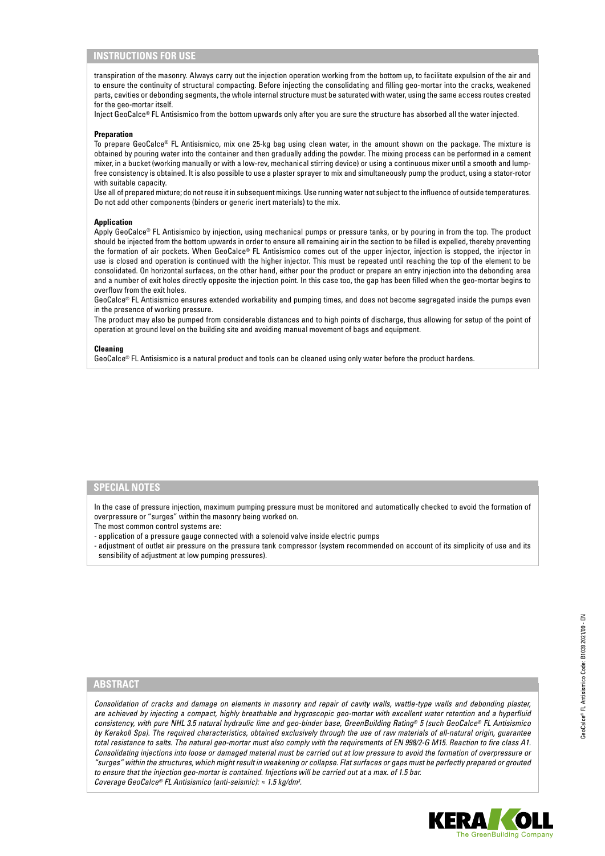## **INSTRUCTIONS FOR USE**

transpiration of the masonry. Always carry out the injection operation working from the bottom up, to facilitate expulsion of the air and to ensure the continuity of structural compacting. Before injecting the consolidating and filling geo-mortar into the cracks, weakened parts, cavities or debonding segments, the whole internal structure must be saturated with water, using the same access routes created for the geo-mortar itself.

Inject GeoCalce® FL Antisismico from the bottom upwards only after you are sure the structure has absorbed all the water injected.

#### **Preparation**

To prepare GeoCalce® FL Antisismico, mix one 25-kg bag using clean water, in the amount shown on the package. The mixture is obtained by pouring water into the container and then gradually adding the powder. The mixing process can be performed in a cement mixer, in a bucket (working manually or with a low-rev, mechanical stirring device) or using a continuous mixer until a smooth and lumpfree consistency is obtained. It is also possible to use a plaster sprayer to mix and simultaneously pump the product, using a stator-rotor with suitable capacity.

Use all of prepared mixture; do not reuse it in subsequent mixings. Use running water not subject to the influence of outside temperatures. Do not add other components (binders or generic inert materials) to the mix.

#### **Application**

Apply GeoCalce® FL Antisismico by injection, using mechanical pumps or pressure tanks, or by pouring in from the top. The product should be injected from the bottom upwards in order to ensure all remaining air in the section to be filled is expelled, thereby preventing the formation of air pockets. When GeoCalce® FL Antisismico comes out of the upper injector, injection is stopped, the injector in use is closed and operation is continued with the higher injector. This must be repeated until reaching the top of the element to be consolidated. On horizontal surfaces, on the other hand, either pour the product or prepare an entry injection into the debonding area and a number of exit holes directly opposite the injection point. In this case too, the gap has been filled when the geo-mortar begins to overflow from the exit holes.

GeoCalce® FL Antisismico ensures extended workability and pumping times, and does not become segregated inside the pumps even in the presence of working pressure.

The product may also be pumped from considerable distances and to high points of discharge, thus allowing for setup of the point of operation at ground level on the building site and avoiding manual movement of bags and equipment.

#### **Cleaning**

GeoCalce® FL Antisismico is a natural product and tools can be cleaned using only water before the product hardens.

#### **SPECIAL NOTES**

In the case of pressure injection, maximum pumping pressure must be monitored and automatically checked to avoid the formation of overpressure or "surges" within the masonry being worked on.

The most common control systems are:

- application of a pressure gauge connected with a solenoid valve inside electric pumps

- adjustment of outlet air pressure on the pressure tank compressor (system recommended on account of its simplicity of use and its sensibility of adjustment at low pumping pressures).

#### **ABSTRACT**

*Consolidation of cracks and damage on elements in masonry and repair of cavity walls, wattle-type walls and debonding plaster, are achieved by injecting a compact, highly breathable and hygroscopic geo-mortar with excellent water retention and a hyperfluid consistency, with pure NHL 3.5 natural hydraulic lime and geo-binder base, GreenBuilding Rating® 5 (such GeoCalce® FL Antisismico by Kerakoll Spa). The required characteristics, obtained exclusively through the use of raw materials of all-natural origin, guarantee total resistance to salts. The natural geo-mortar must also comply with the requirements of EN 998/2-G M15. Reaction to fire class A1. Consolidating injections into loose or damaged material must be carried out at low pressure to avoid the formation of overpressure or "surges" within the structures, which might result in weakening or collapse. Flat surfaces or gaps must be perfectly prepared or grouted to ensure that the injection geo-mortar is contained. Injections will be carried out at a max. of 1.5 bar. Coverage GeoCalce® FL Antisismico (anti-seismic): ≈ 1.5 kg/dm3 .*

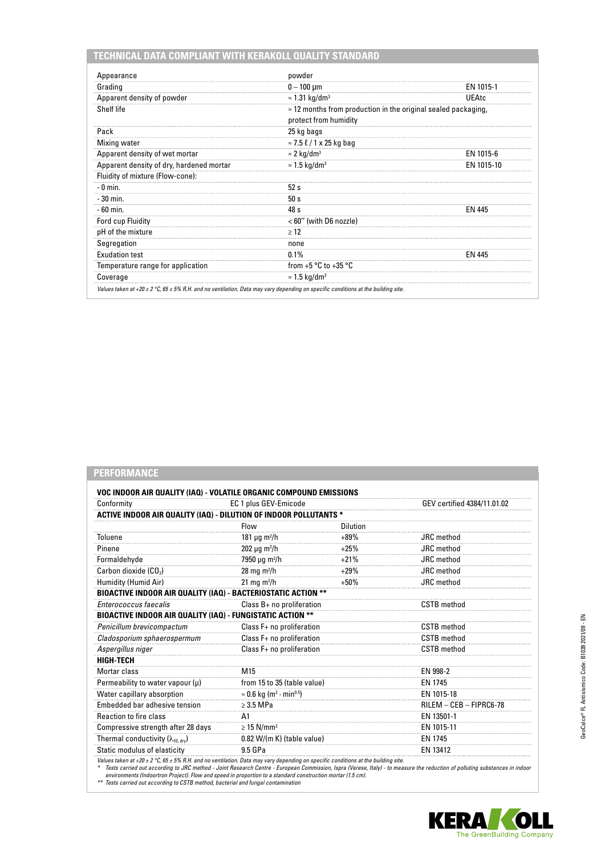| Appearance                               | powder                                                                                         |               |
|------------------------------------------|------------------------------------------------------------------------------------------------|---------------|
| Grading                                  | $0 - 100 \mu m$                                                                                | EN 1015-1     |
| Apparent density of powder               | $\approx$ 1.31 kg/dm <sup>3</sup>                                                              | UEAtc         |
| Shelf life                               | $\approx$ 12 months from production in the original sealed packaging,<br>protect from humidity |               |
| Pack                                     | 25 kg bags                                                                                     |               |
| Mixing water                             | $\approx$ 7.5 $\ell$ / 1 x 25 kg bag                                                           |               |
| Apparent density of wet mortar           | $\approx$ 2 kg/dm <sup>3</sup>                                                                 | EN 1015-6     |
| Apparent density of dry, hardened mortar | $\approx$ 1.5 kg/dm <sup>3</sup>                                                               | EN 1015-10    |
| Fluidity of mixture (Flow-cone):         |                                                                                                |               |
| $-0$ min.                                | 52s                                                                                            |               |
| - 30 min.                                | 50 s                                                                                           |               |
| $-60$ min.                               | 48 s                                                                                           | <b>FN 445</b> |
| Ford cup Fluidity                        | < 60" (with D6 nozzle)                                                                         |               |
| pH of the mixture                        | $\geq 12$                                                                                      |               |
| Segregation                              | none                                                                                           |               |
| <b>Exudation test</b>                    | $0.1\%$                                                                                        | <b>FN 445</b> |
| Temperature range for application        | from $+5 °C$ to $+35 °C$                                                                       |               |
| Coverage                                 | $\approx$ 1.5 kg/dm <sup>3</sup>                                                               |               |

## **PERFORMANCE**

| Conformity                                                           | EC 1 plus GEV-Emicode                                   |                             | GEV certified 4384/11.01.02 |
|----------------------------------------------------------------------|---------------------------------------------------------|-----------------------------|-----------------------------|
| ACTIVE INDOOR AIR QUALITY (IAQ) - DILUTION OF INDOOR POLLUTANTS *    |                                                         |                             |                             |
|                                                                      | Flow                                                    | Dilution                    |                             |
| Toluene                                                              | 181 $\mu$ g m <sup>2</sup> /h                           | $+89%$                      | <b>JRC</b> method           |
| Pinene                                                               | $202 \mu g \, m^2/h$                                    | $+25%$                      | JRC method                  |
| Formaldehyde                                                         | 7950 µg m <sup>2</sup> /h                               | $+21%$                      | JRC method                  |
| Carbon dioxide (CO <sub>2</sub> )                                    | 28 mg m $^2/h$                                          | $+29%$                      | JRC method                  |
| Humidity (Humid Air)                                                 | 21 mg m <sup>2</sup> /h                                 | $+50%$                      | JRC method                  |
| <b>BIOACTIVE INDOOR AIR QUALITY (IAQ) - BACTERIOSTATIC ACTION **</b> |                                                         |                             |                             |
| Enterococcus faecalis                                                | Class B+ no proliferation                               |                             | <b>CSTB</b> method          |
| BIOACTIVE INDOOR AIR QUALITY (IAQ) - FUNGISTATIC ACTION **           |                                                         |                             |                             |
| Penicillum brevicompactum                                            |                                                         | Class F+ no proliferation   |                             |
| Cladosporium sphaerospermum                                          | Class F+ no proliferation                               |                             | <b>CSTB</b> method          |
| Aspergillus niger                                                    |                                                         | Class F+ no proliferation   |                             |
| <b>HIGH-TECH</b>                                                     |                                                         |                             |                             |
| Mortar class                                                         | M <sub>15</sub>                                         |                             |                             |
| Permeability to water vapour $(\mu)$                                 |                                                         | from 15 to 35 (table value) |                             |
| Water capillary absorption                                           | $\approx$ 0.6 kg (m <sup>2</sup> · min <sup>0.5</sup> ) |                             |                             |
| Embedded bar adhesive tension                                        | $\geq$ 3.5 MPa                                          |                             |                             |
| <b>Reaction to fire class</b>                                        | A <sub>1</sub>                                          |                             | EN 13501-1                  |
| Compressive strength after 28 days                                   | $\geq$ 15 N/mm <sup>2</sup>                             |                             | EN 1015-11                  |
| Thermal conductivity (λ <sub>10, dry</sub> )                         | $0.82$ W/(m K) (table value)                            |                             | EN 1745                     |
| Static modulus of elasticity                                         | 9.5 GPa                                                 |                             | EN 13412                    |

Values taken at +20 ± 2 °C, 65 ± 5% R.H. and no ventilation. Data may vary depending on specific conditions at the building site.<br>\* Tests carried out according to JRC method - Joint Research Centre - European Commission, I